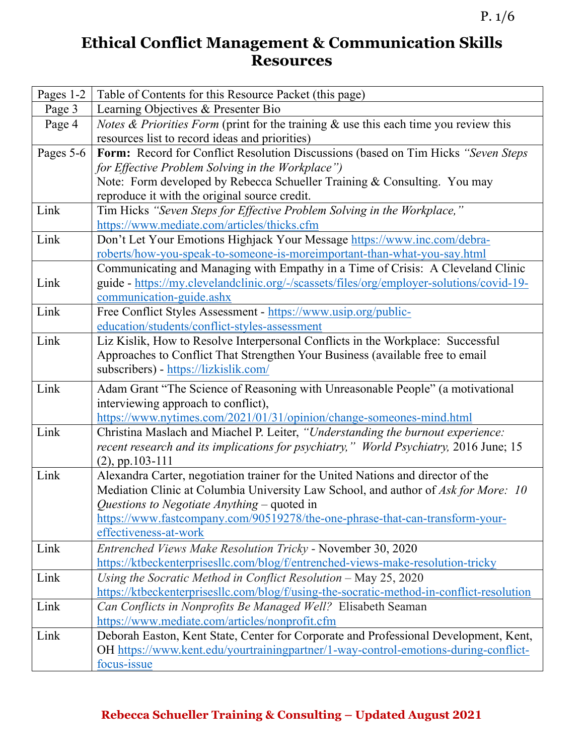## **Ethical Conflict Management & Communication Skills Resources**

| Pages 1-2 | Table of Contents for this Resource Packet (this page)                                                                    |  |
|-----------|---------------------------------------------------------------------------------------------------------------------------|--|
| Page 3    | Learning Objectives & Presenter Bio                                                                                       |  |
| Page 4    | <i>Notes &amp; Priorities Form</i> (print for the training $\&$ use this each time you review this                        |  |
|           | resources list to record ideas and priorities)                                                                            |  |
| Pages 5-6 | Form: Record for Conflict Resolution Discussions (based on Tim Hicks "Seven Steps                                         |  |
|           | for Effective Problem Solving in the Workplace")                                                                          |  |
|           | Note: Form developed by Rebecca Schueller Training & Consulting. You may<br>reproduce it with the original source credit. |  |
| Link      | Tim Hicks "Seven Steps for Effective Problem Solving in the Workplace,"                                                   |  |
|           | https://www.mediate.com/articles/thicks.cfm                                                                               |  |
| Link      | Don't Let Your Emotions Highjack Your Message https://www.inc.com/debra-                                                  |  |
|           | roberts/how-you-speak-to-someone-is-moreimportant-than-what-you-say.html                                                  |  |
|           | Communicating and Managing with Empathy in a Time of Crisis: A Cleveland Clinic                                           |  |
| Link      | guide - https://my.clevelandclinic.org/-/scassets/files/org/employer-solutions/covid-19-                                  |  |
|           | communication-guide.ashx                                                                                                  |  |
| Link      | Free Conflict Styles Assessment - https://www.usip.org/public-                                                            |  |
|           | education/students/conflict-styles-assessment                                                                             |  |
| Link      | Liz Kislik, How to Resolve Interpersonal Conflicts in the Workplace: Successful                                           |  |
|           | Approaches to Conflict That Strengthen Your Business (available free to email                                             |  |
|           | subscribers) - https://lizkislik.com/                                                                                     |  |
| Link      | Adam Grant "The Science of Reasoning with Unreasonable People" (a motivational                                            |  |
|           | interviewing approach to conflict),                                                                                       |  |
|           | https://www.nytimes.com/2021/01/31/opinion/change-someones-mind.html                                                      |  |
| Link      | Christina Maslach and Miachel P. Leiter, "Understanding the burnout experience:                                           |  |
|           | recent research and its implications for psychiatry," World Psychiatry, 2016 June; 15                                     |  |
| Link      | $(2)$ , pp.103-111<br>Alexandra Carter, negotiation trainer for the United Nations and director of the                    |  |
|           | Mediation Clinic at Columbia University Law School, and author of Ask for More: 10                                        |  |
|           | Questions to Negotiate Anything $-$ quoted in                                                                             |  |
|           | https://www.fastcompany.com/90519278/the-one-phrase-that-can-transform-your-                                              |  |
|           | effectiveness-at-work                                                                                                     |  |
| Link      | Entrenched Views Make Resolution Tricky - November 30, 2020                                                               |  |
|           | https://ktbeckenterprisesllc.com/blog/f/entrenched-views-make-resolution-tricky                                           |  |
| Link      | Using the Socratic Method in Conflict Resolution $-$ May 25, 2020                                                         |  |
|           | https://ktbeckenterprisesllc.com/blog/f/using-the-socratic-method-in-conflict-resolution                                  |  |
| Link      | Can Conflicts in Nonprofits Be Managed Well? Elisabeth Seaman                                                             |  |
|           | https://www.mediate.com/articles/nonprofit.cfm                                                                            |  |
| Link      | Deborah Easton, Kent State, Center for Corporate and Professional Development, Kent,                                      |  |
|           | OH https://www.kent.edu/yourtrainingpartner/1-way-control-emotions-during-conflict-                                       |  |
|           | focus-issue                                                                                                               |  |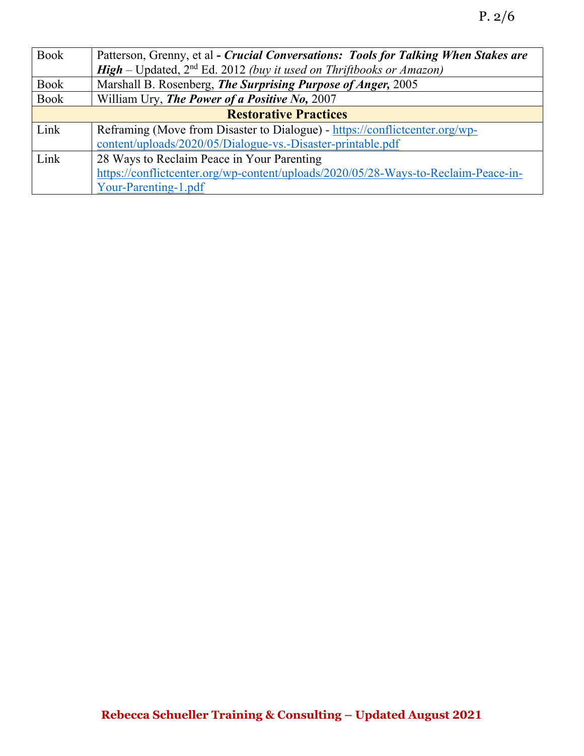| <b>Book</b>                  | Patterson, Grenny, et al - Crucial Conversations: Tools for Talking When Stakes are |  |
|------------------------------|-------------------------------------------------------------------------------------|--|
|                              | <b>High</b> – Updated, $2nd$ Ed. 2012 (buy it used on Thriftbooks or Amazon)        |  |
| <b>Book</b>                  | Marshall B. Rosenberg, The Surprising Purpose of Anger, 2005                        |  |
| <b>Book</b>                  | William Ury, The Power of a Positive No, 2007                                       |  |
| <b>Restorative Practices</b> |                                                                                     |  |
| Link                         | Reframing (Move from Disaster to Dialogue) - https://conflictcenter.org/wp-         |  |
|                              | content/uploads/2020/05/Dialogue-vs.-Disaster-printable.pdf                         |  |
| Link                         | 28 Ways to Reclaim Peace in Your Parenting                                          |  |
|                              | https://conflictcenter.org/wp-content/uploads/2020/05/28-Ways-to-Reclaim-Peace-in-  |  |
|                              | Your-Parenting-1.pdf                                                                |  |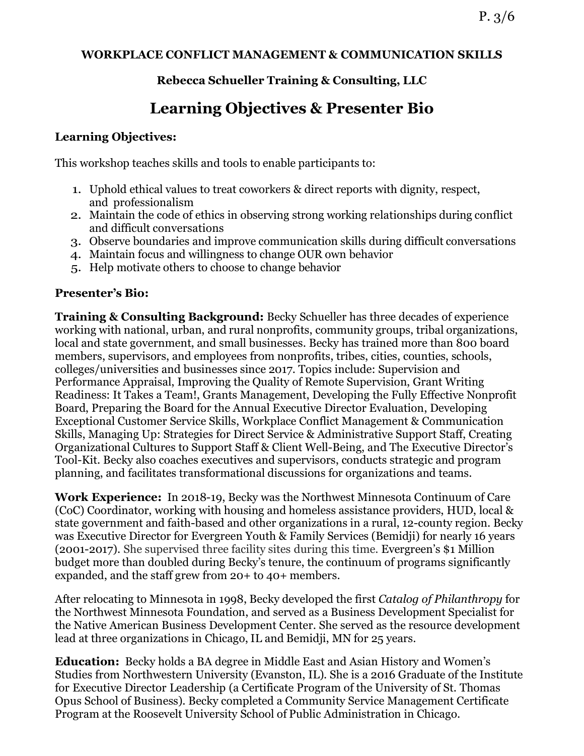#### **WORKPLACE CONFLICT MANAGEMENT & COMMUNICATION SKILLS**

### **Rebecca Schueller Training & Consulting, LLC**

# **Learning Objectives & Presenter Bio**

#### **Learning Objectives:**

This workshop teaches skills and tools to enable participants to:

- 1. Uphold ethical values to treat coworkers & direct reports with dignity, respect, and professionalism
- 2. Maintain the code of ethics in observing strong working relationships during conflict and difficult conversations
- 3. Observe boundaries and improve communication skills during difficult conversations
- 4. Maintain focus and willingness to change OUR own behavior
- 5. Help motivate others to choose to change behavior

#### **Presenter's Bio:**

**Training & Consulting Background:** Becky Schueller has three decades of experience working with national, urban, and rural nonprofits, community groups, tribal organizations, local and state government, and small businesses. Becky has trained more than 800 board members, supervisors, and employees from nonprofits, tribes, cities, counties, schools, colleges/universities and businesses since 2017. Topics include: Supervision and Performance Appraisal, Improving the Quality of Remote Supervision, Grant Writing Readiness: It Takes a Team!, Grants Management, Developing the Fully Effective Nonprofit Board, Preparing the Board for the Annual Executive Director Evaluation, Developing Exceptional Customer Service Skills, Workplace Conflict Management & Communication Skills, Managing Up: Strategies for Direct Service & Administrative Support Staff, Creating Organizational Cultures to Support Staff & Client Well-Being, and The Executive Director's Tool-Kit. Becky also coaches executives and supervisors, conducts strategic and program planning, and facilitates transformational discussions for organizations and teams.

**Work Experience:** In 2018-19, Becky was the Northwest Minnesota Continuum of Care (CoC) Coordinator, working with housing and homeless assistance providers, HUD, local & state government and faith-based and other organizations in a rural, 12-county region. Becky was Executive Director for Evergreen Youth & Family Services (Bemidji) for nearly 16 years (2001-2017). She supervised three facility sites during this time. Evergreen's \$1 Million budget more than doubled during Becky's tenure, the continuum of programs significantly expanded, and the staff grew from 20+ to 40+ members.

After relocating to Minnesota in 1998, Becky developed the first *Catalog of Philanthropy* for the Northwest Minnesota Foundation, and served as a Business Development Specialist for the Native American Business Development Center. She served as the resource development lead at three organizations in Chicago, IL and Bemidji, MN for 25 years.

**Education:** Becky holds a BA degree in Middle East and Asian History and Women's Studies from Northwestern University (Evanston, IL). She is a 2016 Graduate of the Institute for Executive Director Leadership (a Certificate Program of the University of St. Thomas Opus School of Business). Becky completed a Community Service Management Certificate Program at the Roosevelt University School of Public Administration in Chicago.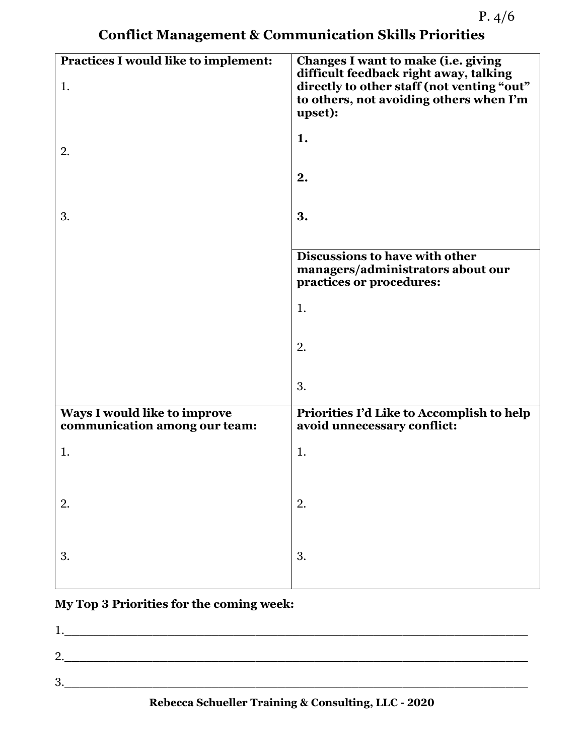**Conflict Management & Communication Skills Priorities**

| Practices I would like to implement:<br>1.                    | Changes I want to make (i.e. giving<br>difficult feedback right away, talking<br>directly to other staff (not venting "out"<br>to others, not avoiding others when I'm<br>upset): |
|---------------------------------------------------------------|-----------------------------------------------------------------------------------------------------------------------------------------------------------------------------------|
| 2.                                                            | 1.                                                                                                                                                                                |
|                                                               | 2.                                                                                                                                                                                |
| 3.                                                            | 3.                                                                                                                                                                                |
|                                                               | Discussions to have with other<br>managers/administrators about our<br>practices or procedures:                                                                                   |
|                                                               | 1.                                                                                                                                                                                |
|                                                               | 2.                                                                                                                                                                                |
|                                                               | 3.                                                                                                                                                                                |
| Ways I would like to improve<br>communication among our team: | Priorities I'd Like to Accomplish to help<br>avoid unnecessary conflict:                                                                                                          |
| 1.                                                            | 1.                                                                                                                                                                                |
| 2.                                                            | 2.                                                                                                                                                                                |
| 3.                                                            | 3.                                                                                                                                                                                |

## **My Top 3 Priorities for the coming week:**

| ┻.                            |  |  |
|-------------------------------|--|--|
| റ<br>$\overline{\phantom{a}}$ |  |  |
| $\bullet$                     |  |  |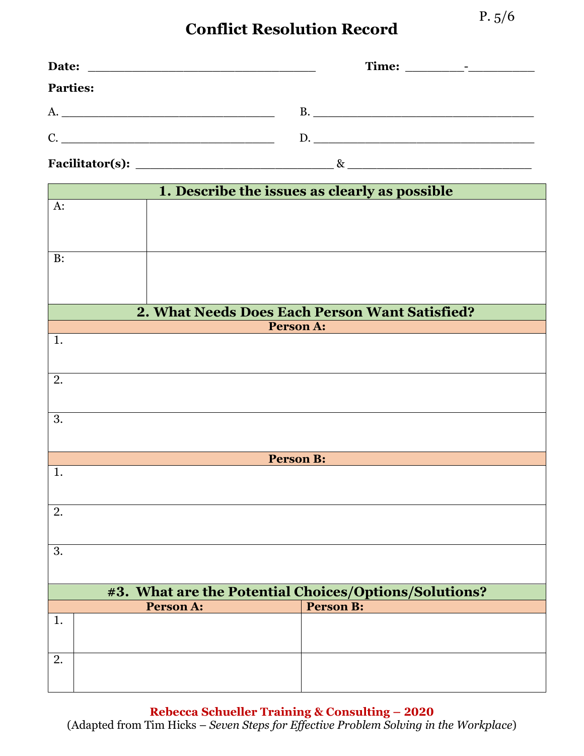# **Conflict Resolution Record**

| <b>Parties:</b>                                       |                                                |
|-------------------------------------------------------|------------------------------------------------|
|                                                       | B.                                             |
|                                                       | D.                                             |
|                                                       |                                                |
|                                                       | 1. Describe the issues as clearly as possible  |
| $A$ :                                                 |                                                |
|                                                       |                                                |
| B:                                                    |                                                |
|                                                       |                                                |
|                                                       | 2. What Needs Does Each Person Want Satisfied? |
| Person A:                                             |                                                |
| 1.                                                    |                                                |
|                                                       |                                                |
| 2.                                                    |                                                |
|                                                       |                                                |
| 3.                                                    |                                                |
|                                                       |                                                |
| <b>Person B:</b><br>1.                                |                                                |
|                                                       |                                                |
| 2.                                                    |                                                |
|                                                       |                                                |
| 3.                                                    |                                                |
|                                                       |                                                |
| #3. What are the Potential Choices/Options/Solutions? |                                                |
| <b>Person A:</b>                                      | <b>Person B:</b>                               |
| 1.                                                    |                                                |

| Rebecca Schueller Training & Consulting – 2020                                        |  |  |  |
|---------------------------------------------------------------------------------------|--|--|--|
| (Adapted from Tim Hicks – Seven Steps for Effective Problem Solving in the Workplace) |  |  |  |